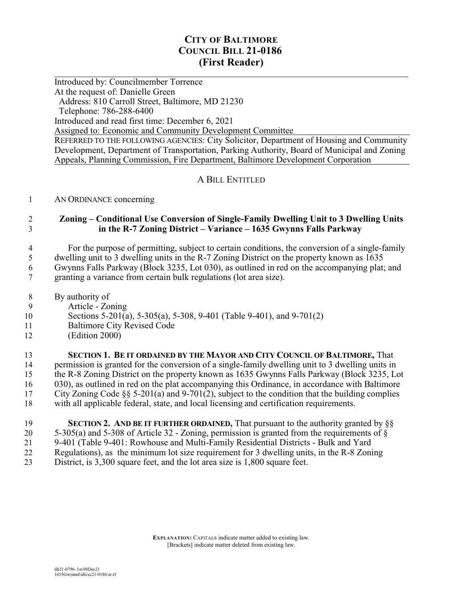# **CITY OF BALTIMORE COUNCIL BILL 21-0186 (First Reader)**

 $\overline{a}$ Introduced by: Councilmember Torrence At the request of: Danielle Green Address: 810 Carroll Street, Baltimore, MD 21230 Telephone: 786-288-6400 Introduced and read first time: December 6, 2021 Assigned to: Economic and Community Development Committee REFERRED TO THE FOLLOWING AGENCIES: City Solicitor, Department of Housing and Community Development, Department of Transportation, Parking Authority, Board of Municipal and Zoning Appeals, Planning Commission, Fire Department, Baltimore Development Corporation

## A BILL ENTITLED

#### 1 AN ORDINANCE concerning

### 2 **Zoning – Conditional Use Conversion of Single-Family Dwelling Unit to 3 Dwelling Units** 3 **in the R-7 Zoning District – Variance – 1635 Gwynns Falls Parkway**

 For the purpose of permitting, subject to certain conditions, the conversion of a single-family dwelling unit to 3 dwelling units in the R-7 Zoning District on the property known as 1635 Gwynns Falls Parkway (Block 3235, Lot 030), as outlined in red on the accompanying plat; and granting a variance from certain bulk regulations (lot area size).

- 8 By authority of
- 9 Article Zoning
- 10 Sections 5-201(a), 5-305(a), 5-308, 9-401 (Table 9-401), and 9-701(2)
- 11 Baltimore City Revised Code
- 12 (Edition 2000)

 **SECTION 1. BE IT ORDAINED BY THE MAYOR AND CITY COUNCIL OF BALTIMORE,** That permission is granted for the conversion of a single-family dwelling unit to 3 dwelling units in the R-8 Zoning District on the property known as 1635 Gwynns Falls Parkway (Block 3235, Lot 030), as outlined in red on the plat accompanying this Ordinance, in accordance with Baltimore City Zoning Code §§ 5-201(a) and 9-701(2), subject to the condition that the building complies with all applicable federal, state, and local licensing and certification requirements.

 **SECTION 2. AND BE IT FURTHER ORDAINED,** That pursuant to the authority granted by §§ 20 5-305(a) and 5-308 of Article 32 - Zoning, permission is granted from the requirements of  $\S$ <br>21 9-401 (Table 9-401: Rowhouse and Multi-Family Residential Districts - Bulk and Yard 9-401 (Table 9-401: Rowhouse and Multi-Family Residential Districts - Bulk and Yard Regulations), as the minimum lot size requirement for 3 dwelling units, in the R-8 Zoning District, is 3,300 square feet, and the lot area size is 1,800 square feet.

> **EXPLANATION:** CAPITALS indicate matter added to existing law. [Brackets] indicate matter deleted from existing law.